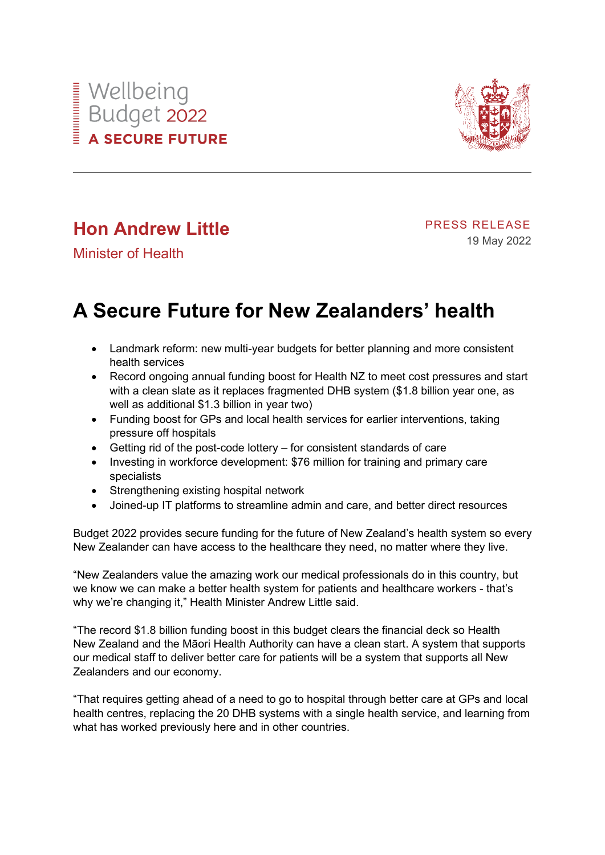



# **Hon Andrew Little**

PRESS RELEASE 19 May 2022

Minister of Health

# **A Secure Future for New Zealanders' health**

- Landmark reform: new multi-year budgets for better planning and more consistent health services
- Record ongoing annual funding boost for Health NZ to meet cost pressures and start with a clean slate as it replaces fragmented DHB system (\$1.8 billion year one, as well as additional \$1.3 billion in year two)
- Funding boost for GPs and local health services for earlier interventions, taking pressure off hospitals
- Getting rid of the post-code lottery for consistent standards of care
- Investing in workforce development: \$76 million for training and primary care specialists
- Strengthening existing hospital network
- Joined-up IT platforms to streamline admin and care, and better direct resources

Budget 2022 provides secure funding for the future of New Zealand's health system so every New Zealander can have access to the healthcare they need, no matter where they live.

"New Zealanders value the amazing work our medical professionals do in this country, but we know we can make a better health system for patients and healthcare workers - that's why we're changing it," Health Minister Andrew Little said.

"The record \$1.8 billion funding boost in this budget clears the financial deck so Health New Zealand and the Māori Health Authority can have a clean start. A system that supports our medical staff to deliver better care for patients will be a system that supports all New Zealanders and our economy.

"That requires getting ahead of a need to go to hospital through better care at GPs and local health centres, replacing the 20 DHB systems with a single health service, and learning from what has worked previously here and in other countries.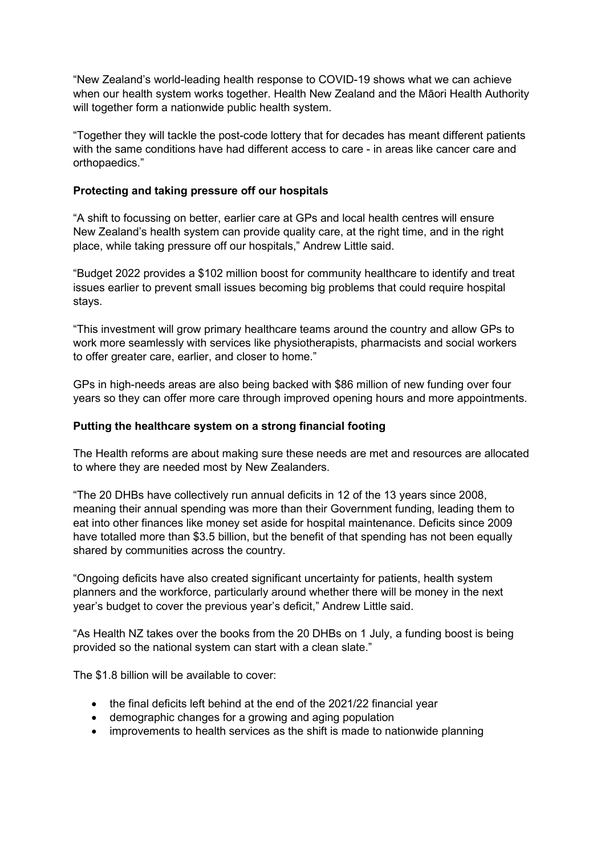"New Zealand's world-leading health response to COVID-19 shows what we can achieve when our health system works together. Health New Zealand and the Māori Health Authority will together form a nationwide public health system.

"Together they will tackle the post-code lottery that for decades has meant different patients with the same conditions have had different access to care - in areas like cancer care and orthopaedics."

### **Protecting and taking pressure off our hospitals**

"A shift to focussing on better, earlier care at GPs and local health centres will ensure New Zealand's health system can provide quality care, at the right time, and in the right place, while taking pressure off our hospitals," Andrew Little said.

"Budget 2022 provides a \$102 million boost for community healthcare to identify and treat issues earlier to prevent small issues becoming big problems that could require hospital stays.

"This investment will grow primary healthcare teams around the country and allow GPs to work more seamlessly with services like physiotherapists, pharmacists and social workers to offer greater care, earlier, and closer to home."

GPs in high-needs areas are also being backed with \$86 million of new funding over four years so they can offer more care through improved opening hours and more appointments.

#### **Putting the healthcare system on a strong financial footing**

The Health reforms are about making sure these needs are met and resources are allocated to where they are needed most by New Zealanders.

"The 20 DHBs have collectively run annual deficits in 12 of the 13 years since 2008, meaning their annual spending was more than their Government funding, leading them to eat into other finances like money set aside for hospital maintenance. Deficits since 2009 have totalled more than \$3.5 billion, but the benefit of that spending has not been equally shared by communities across the country.

"Ongoing deficits have also created significant uncertainty for patients, health system planners and the workforce, particularly around whether there will be money in the next year's budget to cover the previous year's deficit," Andrew Little said.

"As Health NZ takes over the books from the 20 DHBs on 1 July, a funding boost is being provided so the national system can start with a clean slate."

The \$1.8 billion will be available to cover:

- the final deficits left behind at the end of the 2021/22 financial year
- demographic changes for a growing and aging population
- improvements to health services as the shift is made to nationwide planning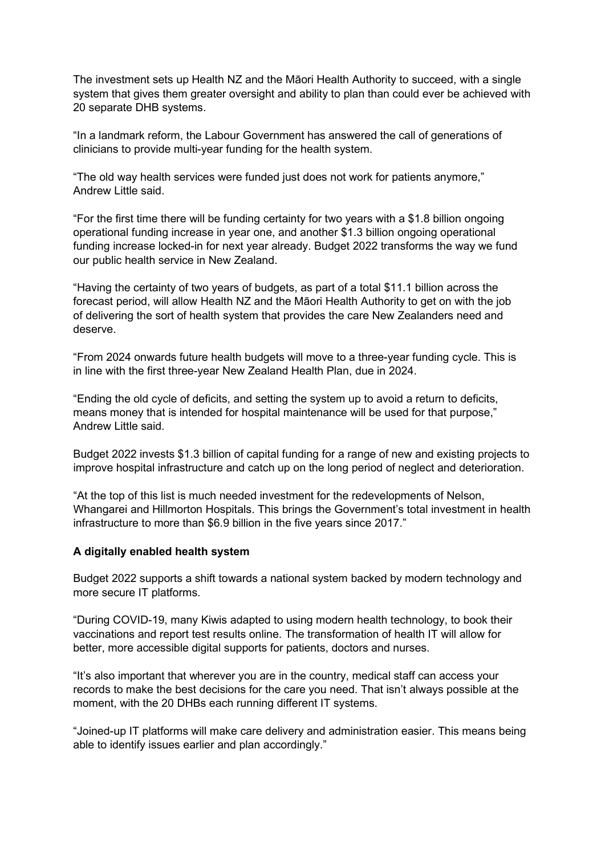The investment sets up Health NZ and the Māori Health Authority to succeed, with a single system that gives them greater oversight and ability to plan than could ever be achieved with 20 separate DHB systems.

"In a landmark reform, the Labour Government has answered the call of generations of clinicians to provide multi-year funding for the health system.

"The old way health services were funded just does not work for patients anymore," Andrew Little said.

"For the first time there will be funding certainty for two years with a \$1.8 billion ongoing operational funding increase in year one, and another \$1.3 billion ongoing operational funding increase locked-in for next year already. Budget 2022 transforms the way we fund our public health service in New Zealand.

"Having the certainty of two years of budgets, as part of a total \$11.1 billion across the forecast period, will allow Health NZ and the Māori Health Authority to get on with the job of delivering the sort of health system that provides the care New Zealanders need and deserve.

"From 2024 onwards future health budgets will move to a three-year funding cycle. This is in line with the first three-year New Zealand Health Plan, due in 2024.

"Ending the old cycle of deficits, and setting the system up to avoid a return to deficits, means money that is intended for hospital maintenance will be used for that purpose," Andrew Little said.

Budget 2022 invests \$1.3 billion of capital funding for a range of new and existing projects to improve hospital infrastructure and catch up on the long period of neglect and deterioration.

"At the top of this list is much needed investment for the redevelopments of Nelson, Whangarei and Hillmorton Hospitals. This brings the Government's total investment in health infrastructure to more than \$6.9 billion in the five years since 2017."

#### **A digitally enabled health system**

Budget 2022 supports a shift towards a national system backed by modern technology and more secure IT platforms.

"During COVID-19, many Kiwis adapted to using modern health technology, to book their vaccinations and report test results online. The transformation of health IT will allow for better, more accessible digital supports for patients, doctors and nurses.

"It's also important that wherever you are in the country, medical staff can access your records to make the best decisions for the care you need. That isn't always possible at the moment, with the 20 DHBs each running different IT systems.

"Joined-up IT platforms will make care delivery and administration easier. This means being able to identify issues earlier and plan accordingly."